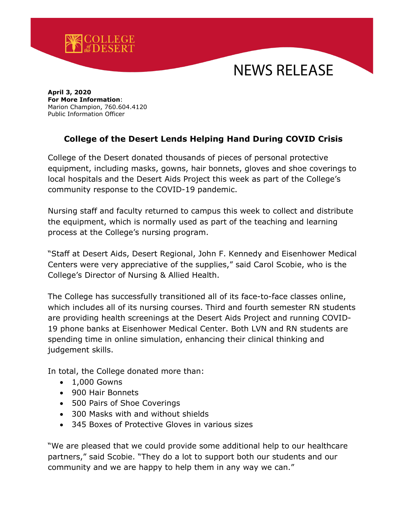

## NEWS RELEASE

**April 3, 2020 For More Information**: Marion Champion, 760.604.4120 Public Information Officer

## **College of the Desert Lends Helping Hand During COVID Crisis**

College of the Desert donated thousands of pieces of personal protective equipment, including masks, gowns, hair bonnets, gloves and shoe coverings to local hospitals and the Desert Aids Project this week as part of the College's community response to the COVID-19 pandemic.

Nursing staff and faculty returned to campus this week to collect and distribute the equipment, which is normally used as part of the teaching and learning process at the College's nursing program.

"Staff at Desert Aids, Desert Regional, John F. Kennedy and Eisenhower Medical Centers were very appreciative of the supplies," said Carol Scobie, who is the College's Director of Nursing & Allied Health.

The College has successfully transitioned all of its face-to-face classes online, which includes all of its nursing courses. Third and fourth semester RN students are providing health screenings at the Desert Aids Project and running COVID-19 phone banks at Eisenhower Medical Center. Both LVN and RN students are spending time in online simulation, enhancing their clinical thinking and judgement skills.

In total, the College donated more than:

- 1,000 Gowns
- 900 Hair Bonnets
- 500 Pairs of Shoe Coverings
- 300 Masks with and without shields
- 345 Boxes of Protective Gloves in various sizes

"We are pleased that we could provide some additional help to our healthcare partners," said Scobie. "They do a lot to support both our students and our community and we are happy to help them in any way we can."